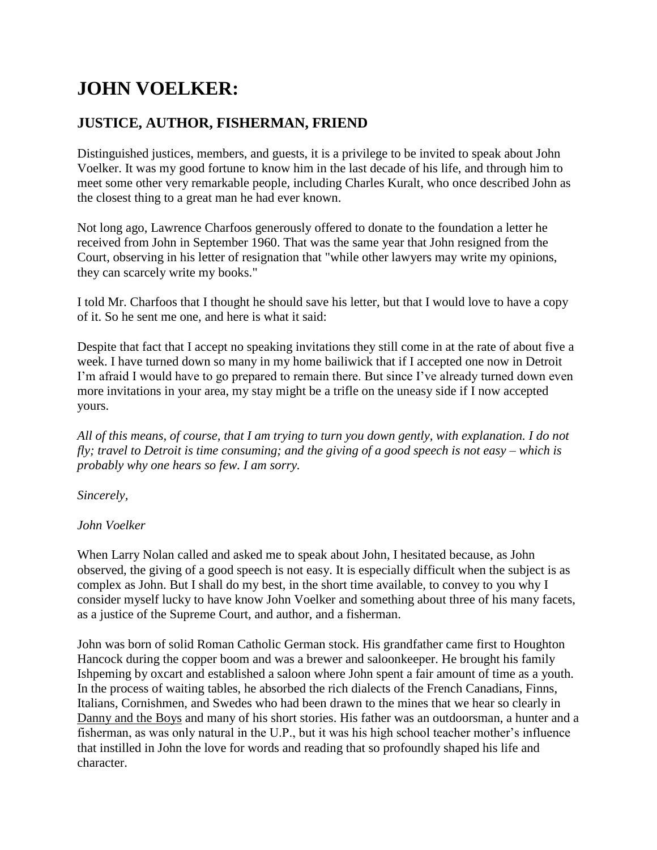# **JOHN VOELKER:**

## **JUSTICE, AUTHOR, FISHERMAN, FRIEND**

Distinguished justices, members, and guests, it is a privilege to be invited to speak about John Voelker. It was my good fortune to know him in the last decade of his life, and through him to meet some other very remarkable people, including Charles Kuralt, who once described John as the closest thing to a great man he had ever known.

Not long ago, Lawrence Charfoos generously offered to donate to the foundation a letter he received from John in September 1960. That was the same year that John resigned from the Court, observing in his letter of resignation that "while other lawyers may write my opinions, they can scarcely write my books."

I told Mr. Charfoos that I thought he should save his letter, but that I would love to have a copy of it. So he sent me one, and here is what it said:

Despite that fact that I accept no speaking invitations they still come in at the rate of about five a week. I have turned down so many in my home bailiwick that if I accepted one now in Detroit I'm afraid I would have to go prepared to remain there. But since I've already turned down even more invitations in your area, my stay might be a trifle on the uneasy side if I now accepted yours.

*All of this means, of course, that I am trying to turn you down gently, with explanation. I do not fly; travel to Detroit is time consuming; and the giving of a good speech is not easy – which is probably why one hears so few. I am sorry.*

*Sincerely,*

### *John Voelker*

When Larry Nolan called and asked me to speak about John, I hesitated because, as John observed, the giving of a good speech is not easy. It is especially difficult when the subject is as complex as John. But I shall do my best, in the short time available, to convey to you why I consider myself lucky to have know John Voelker and something about three of his many facets, as a justice of the Supreme Court, and author, and a fisherman.

John was born of solid Roman Catholic German stock. His grandfather came first to Houghton Hancock during the copper boom and was a brewer and saloonkeeper. He brought his family Ishpeming by oxcart and established a saloon where John spent a fair amount of time as a youth. In the process of waiting tables, he absorbed the rich dialects of the French Canadians, Finns, Italians, Cornishmen, and Swedes who had been drawn to the mines that we hear so clearly in Danny and the Boys and many of his short stories. His father was an outdoorsman, a hunter and a fisherman, as was only natural in the U.P., but it was his high school teacher mother's influence that instilled in John the love for words and reading that so profoundly shaped his life and character.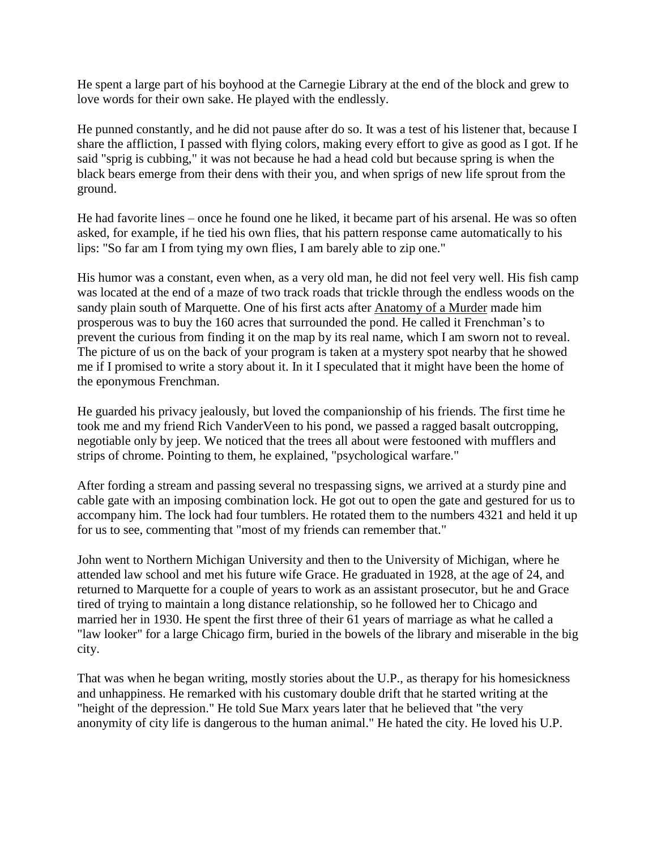He spent a large part of his boyhood at the Carnegie Library at the end of the block and grew to love words for their own sake. He played with the endlessly.

He punned constantly, and he did not pause after do so. It was a test of his listener that, because I share the affliction, I passed with flying colors, making every effort to give as good as I got. If he said "sprig is cubbing," it was not because he had a head cold but because spring is when the black bears emerge from their dens with their you, and when sprigs of new life sprout from the ground.

He had favorite lines – once he found one he liked, it became part of his arsenal. He was so often asked, for example, if he tied his own flies, that his pattern response came automatically to his lips: "So far am I from tying my own flies, I am barely able to zip one."

His humor was a constant, even when, as a very old man, he did not feel very well. His fish camp was located at the end of a maze of two track roads that trickle through the endless woods on the sandy plain south of Marquette. One of his first acts after Anatomy of a Murder made him prosperous was to buy the 160 acres that surrounded the pond. He called it Frenchman's to prevent the curious from finding it on the map by its real name, which I am sworn not to reveal. The picture of us on the back of your program is taken at a mystery spot nearby that he showed me if I promised to write a story about it. In it I speculated that it might have been the home of the eponymous Frenchman.

He guarded his privacy jealously, but loved the companionship of his friends. The first time he took me and my friend Rich VanderVeen to his pond, we passed a ragged basalt outcropping, negotiable only by jeep. We noticed that the trees all about were festooned with mufflers and strips of chrome. Pointing to them, he explained, "psychological warfare."

After fording a stream and passing several no trespassing signs, we arrived at a sturdy pine and cable gate with an imposing combination lock. He got out to open the gate and gestured for us to accompany him. The lock had four tumblers. He rotated them to the numbers 4321 and held it up for us to see, commenting that "most of my friends can remember that."

John went to Northern Michigan University and then to the University of Michigan, where he attended law school and met his future wife Grace. He graduated in 1928, at the age of 24, and returned to Marquette for a couple of years to work as an assistant prosecutor, but he and Grace tired of trying to maintain a long distance relationship, so he followed her to Chicago and married her in 1930. He spent the first three of their 61 years of marriage as what he called a "law looker" for a large Chicago firm, buried in the bowels of the library and miserable in the big city.

That was when he began writing, mostly stories about the U.P., as therapy for his homesickness and unhappiness. He remarked with his customary double drift that he started writing at the "height of the depression." He told Sue Marx years later that he believed that "the very anonymity of city life is dangerous to the human animal." He hated the city. He loved his U.P.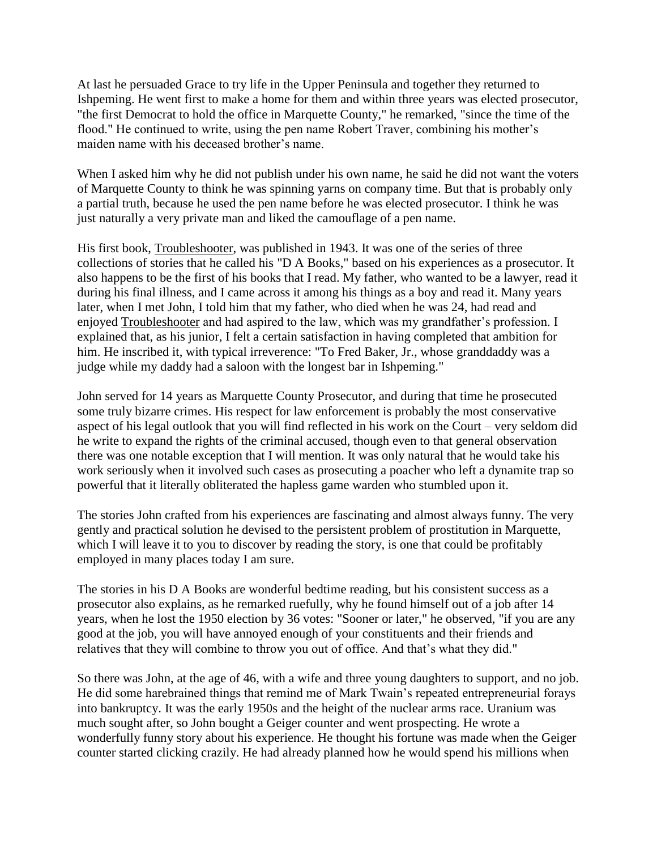At last he persuaded Grace to try life in the Upper Peninsula and together they returned to Ishpeming. He went first to make a home for them and within three years was elected prosecutor, "the first Democrat to hold the office in Marquette County," he remarked, "since the time of the flood." He continued to write, using the pen name Robert Traver, combining his mother's maiden name with his deceased brother's name.

When I asked him why he did not publish under his own name, he said he did not want the voters of Marquette County to think he was spinning yarns on company time. But that is probably only a partial truth, because he used the pen name before he was elected prosecutor. I think he was just naturally a very private man and liked the camouflage of a pen name.

His first book, Troubleshooter, was published in 1943. It was one of the series of three collections of stories that he called his "D A Books," based on his experiences as a prosecutor. It also happens to be the first of his books that I read. My father, who wanted to be a lawyer, read it during his final illness, and I came across it among his things as a boy and read it. Many years later, when I met John, I told him that my father, who died when he was 24, had read and enjoyed Troubleshooter and had aspired to the law, which was my grandfather's profession. I explained that, as his junior, I felt a certain satisfaction in having completed that ambition for him. He inscribed it, with typical irreverence: "To Fred Baker, Jr., whose granddaddy was a judge while my daddy had a saloon with the longest bar in Ishpeming."

John served for 14 years as Marquette County Prosecutor, and during that time he prosecuted some truly bizarre crimes. His respect for law enforcement is probably the most conservative aspect of his legal outlook that you will find reflected in his work on the Court – very seldom did he write to expand the rights of the criminal accused, though even to that general observation there was one notable exception that I will mention. It was only natural that he would take his work seriously when it involved such cases as prosecuting a poacher who left a dynamite trap so powerful that it literally obliterated the hapless game warden who stumbled upon it.

The stories John crafted from his experiences are fascinating and almost always funny. The very gently and practical solution he devised to the persistent problem of prostitution in Marquette, which I will leave it to you to discover by reading the story, is one that could be profitably employed in many places today I am sure.

The stories in his D A Books are wonderful bedtime reading, but his consistent success as a prosecutor also explains, as he remarked ruefully, why he found himself out of a job after 14 years, when he lost the 1950 election by 36 votes: "Sooner or later," he observed, "if you are any good at the job, you will have annoyed enough of your constituents and their friends and relatives that they will combine to throw you out of office. And that's what they did."

So there was John, at the age of 46, with a wife and three young daughters to support, and no job. He did some harebrained things that remind me of Mark Twain's repeated entrepreneurial forays into bankruptcy. It was the early 1950s and the height of the nuclear arms race. Uranium was much sought after, so John bought a Geiger counter and went prospecting. He wrote a wonderfully funny story about his experience. He thought his fortune was made when the Geiger counter started clicking crazily. He had already planned how he would spend his millions when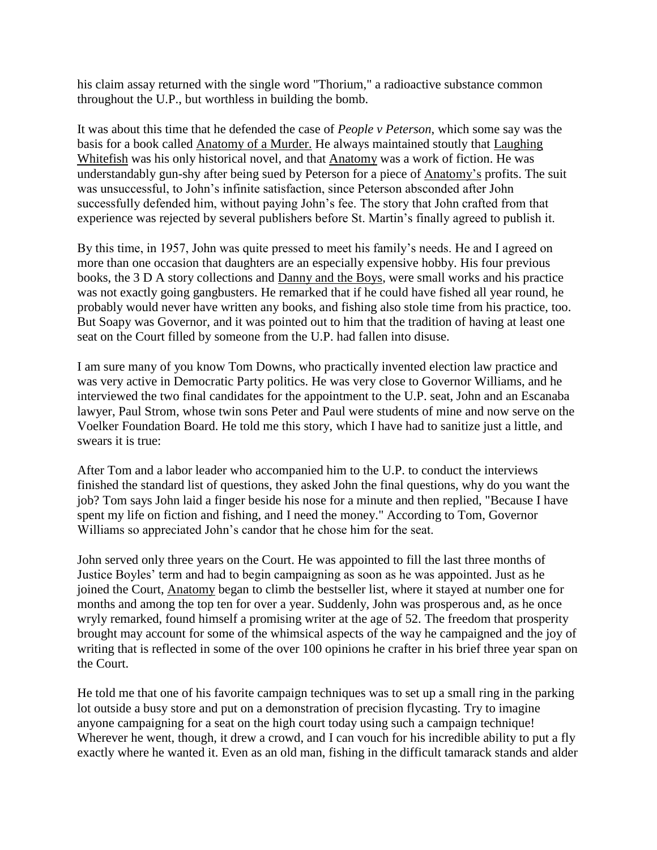his claim assay returned with the single word "Thorium," a radioactive substance common throughout the U.P., but worthless in building the bomb.

It was about this time that he defended the case of *People v Peterson*, which some say was the basis for a book called Anatomy of a Murder. He always maintained stoutly that Laughing Whitefish was his only historical novel, and that Anatomy was a work of fiction. He was understandably gun-shy after being sued by Peterson for a piece of Anatomy's profits. The suit was unsuccessful, to John's infinite satisfaction, since Peterson absconded after John successfully defended him, without paying John's fee. The story that John crafted from that experience was rejected by several publishers before St. Martin's finally agreed to publish it.

By this time, in 1957, John was quite pressed to meet his family's needs. He and I agreed on more than one occasion that daughters are an especially expensive hobby. His four previous books, the 3 D A story collections and Danny and the Boys, were small works and his practice was not exactly going gangbusters. He remarked that if he could have fished all year round, he probably would never have written any books, and fishing also stole time from his practice, too. But Soapy was Governor, and it was pointed out to him that the tradition of having at least one seat on the Court filled by someone from the U.P. had fallen into disuse.

I am sure many of you know Tom Downs, who practically invented election law practice and was very active in Democratic Party politics. He was very close to Governor Williams, and he interviewed the two final candidates for the appointment to the U.P. seat, John and an Escanaba lawyer, Paul Strom, whose twin sons Peter and Paul were students of mine and now serve on the Voelker Foundation Board. He told me this story, which I have had to sanitize just a little, and swears it is true:

After Tom and a labor leader who accompanied him to the U.P. to conduct the interviews finished the standard list of questions, they asked John the final questions, why do you want the job? Tom says John laid a finger beside his nose for a minute and then replied, "Because I have spent my life on fiction and fishing, and I need the money." According to Tom, Governor Williams so appreciated John's candor that he chose him for the seat.

John served only three years on the Court. He was appointed to fill the last three months of Justice Boyles' term and had to begin campaigning as soon as he was appointed. Just as he joined the Court, Anatomy began to climb the bestseller list, where it stayed at number one for months and among the top ten for over a year. Suddenly, John was prosperous and, as he once wryly remarked, found himself a promising writer at the age of 52. The freedom that prosperity brought may account for some of the whimsical aspects of the way he campaigned and the joy of writing that is reflected in some of the over 100 opinions he crafter in his brief three year span on the Court.

He told me that one of his favorite campaign techniques was to set up a small ring in the parking lot outside a busy store and put on a demonstration of precision flycasting. Try to imagine anyone campaigning for a seat on the high court today using such a campaign technique! Wherever he went, though, it drew a crowd, and I can vouch for his incredible ability to put a fly exactly where he wanted it. Even as an old man, fishing in the difficult tamarack stands and alder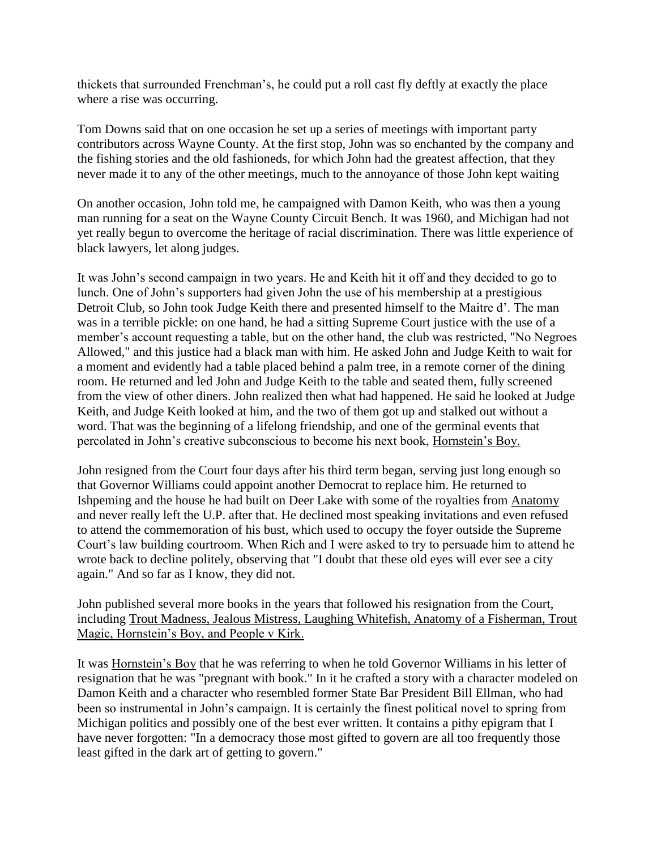thickets that surrounded Frenchman's, he could put a roll cast fly deftly at exactly the place where a rise was occurring.

Tom Downs said that on one occasion he set up a series of meetings with important party contributors across Wayne County. At the first stop, John was so enchanted by the company and the fishing stories and the old fashioneds, for which John had the greatest affection, that they never made it to any of the other meetings, much to the annoyance of those John kept waiting

On another occasion, John told me, he campaigned with Damon Keith, who was then a young man running for a seat on the Wayne County Circuit Bench. It was 1960, and Michigan had not yet really begun to overcome the heritage of racial discrimination. There was little experience of black lawyers, let along judges.

It was John's second campaign in two years. He and Keith hit it off and they decided to go to lunch. One of John's supporters had given John the use of his membership at a prestigious Detroit Club, so John took Judge Keith there and presented himself to the Maitre d'. The man was in a terrible pickle: on one hand, he had a sitting Supreme Court justice with the use of a member's account requesting a table, but on the other hand, the club was restricted, "No Negroes Allowed," and this justice had a black man with him. He asked John and Judge Keith to wait for a moment and evidently had a table placed behind a palm tree, in a remote corner of the dining room. He returned and led John and Judge Keith to the table and seated them, fully screened from the view of other diners. John realized then what had happened. He said he looked at Judge Keith, and Judge Keith looked at him, and the two of them got up and stalked out without a word. That was the beginning of a lifelong friendship, and one of the germinal events that percolated in John's creative subconscious to become his next book, Hornstein's Boy.

John resigned from the Court four days after his third term began, serving just long enough so that Governor Williams could appoint another Democrat to replace him. He returned to Ishpeming and the house he had built on Deer Lake with some of the royalties from Anatomy and never really left the U.P. after that. He declined most speaking invitations and even refused to attend the commemoration of his bust, which used to occupy the foyer outside the Supreme Court's law building courtroom. When Rich and I were asked to try to persuade him to attend he wrote back to decline politely, observing that "I doubt that these old eyes will ever see a city again." And so far as I know, they did not.

John published several more books in the years that followed his resignation from the Court, including Trout Madness, Jealous Mistress, Laughing Whitefish, Anatomy of a Fisherman, Trout Magic, Hornstein's Boy, and People v Kirk.

It was Hornstein's Boy that he was referring to when he told Governor Williams in his letter of resignation that he was "pregnant with book." In it he crafted a story with a character modeled on Damon Keith and a character who resembled former State Bar President Bill Ellman, who had been so instrumental in John's campaign. It is certainly the finest political novel to spring from Michigan politics and possibly one of the best ever written. It contains a pithy epigram that I have never forgotten: "In a democracy those most gifted to govern are all too frequently those least gifted in the dark art of getting to govern."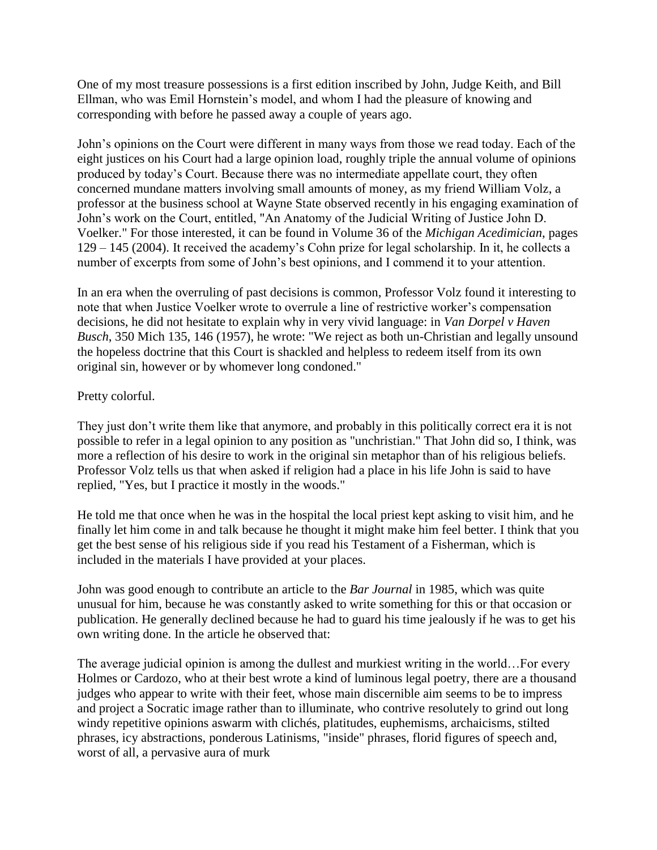One of my most treasure possessions is a first edition inscribed by John, Judge Keith, and Bill Ellman, who was Emil Hornstein's model, and whom I had the pleasure of knowing and corresponding with before he passed away a couple of years ago.

John's opinions on the Court were different in many ways from those we read today. Each of the eight justices on his Court had a large opinion load, roughly triple the annual volume of opinions produced by today's Court. Because there was no intermediate appellate court, they often concerned mundane matters involving small amounts of money, as my friend William Volz, a professor at the business school at Wayne State observed recently in his engaging examination of John's work on the Court, entitled, "An Anatomy of the Judicial Writing of Justice John D. Voelker." For those interested, it can be found in Volume 36 of the *Michigan Acedimician*, pages 129 – 145 (2004). It received the academy's Cohn prize for legal scholarship. In it, he collects a number of excerpts from some of John's best opinions, and I commend it to your attention.

In an era when the overruling of past decisions is common, Professor Volz found it interesting to note that when Justice Voelker wrote to overrule a line of restrictive worker's compensation decisions, he did not hesitate to explain why in very vivid language: in *Van Dorpel v Haven Busch*, 350 Mich 135, 146 (1957), he wrote: "We reject as both un-Christian and legally unsound the hopeless doctrine that this Court is shackled and helpless to redeem itself from its own original sin, however or by whomever long condoned."

### Pretty colorful.

They just don't write them like that anymore, and probably in this politically correct era it is not possible to refer in a legal opinion to any position as "unchristian." That John did so, I think, was more a reflection of his desire to work in the original sin metaphor than of his religious beliefs. Professor Volz tells us that when asked if religion had a place in his life John is said to have replied, "Yes, but I practice it mostly in the woods."

He told me that once when he was in the hospital the local priest kept asking to visit him, and he finally let him come in and talk because he thought it might make him feel better. I think that you get the best sense of his religious side if you read his Testament of a Fisherman, which is included in the materials I have provided at your places.

John was good enough to contribute an article to the *Bar Journal* in 1985, which was quite unusual for him, because he was constantly asked to write something for this or that occasion or publication. He generally declined because he had to guard his time jealously if he was to get his own writing done. In the article he observed that:

The average judicial opinion is among the dullest and murkiest writing in the world…For every Holmes or Cardozo, who at their best wrote a kind of luminous legal poetry, there are a thousand judges who appear to write with their feet, whose main discernible aim seems to be to impress and project a Socratic image rather than to illuminate, who contrive resolutely to grind out long windy repetitive opinions aswarm with clichés, platitudes, euphemisms, archaicisms, stilted phrases, icy abstractions, ponderous Latinisms, "inside" phrases, florid figures of speech and, worst of all, a pervasive aura of murk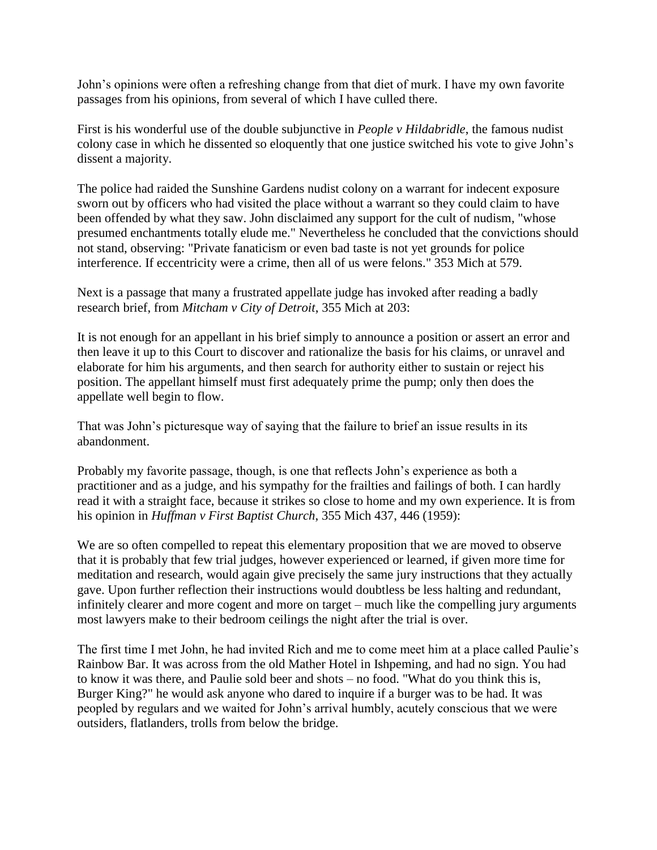John's opinions were often a refreshing change from that diet of murk. I have my own favorite passages from his opinions, from several of which I have culled there.

First is his wonderful use of the double subjunctive in *People v Hildabridle*, the famous nudist colony case in which he dissented so eloquently that one justice switched his vote to give John's dissent a majority.

The police had raided the Sunshine Gardens nudist colony on a warrant for indecent exposure sworn out by officers who had visited the place without a warrant so they could claim to have been offended by what they saw. John disclaimed any support for the cult of nudism, "whose presumed enchantments totally elude me." Nevertheless he concluded that the convictions should not stand, observing: "Private fanaticism or even bad taste is not yet grounds for police interference. If eccentricity were a crime, then all of us were felons." 353 Mich at 579.

Next is a passage that many a frustrated appellate judge has invoked after reading a badly research brief, from *Mitcham v City of Detroit*, 355 Mich at 203:

It is not enough for an appellant in his brief simply to announce a position or assert an error and then leave it up to this Court to discover and rationalize the basis for his claims, or unravel and elaborate for him his arguments, and then search for authority either to sustain or reject his position. The appellant himself must first adequately prime the pump; only then does the appellate well begin to flow.

That was John's picturesque way of saying that the failure to brief an issue results in its abandonment.

Probably my favorite passage, though, is one that reflects John's experience as both a practitioner and as a judge, and his sympathy for the frailties and failings of both. I can hardly read it with a straight face, because it strikes so close to home and my own experience. It is from his opinion in *Huffman v First Baptist Church*, 355 Mich 437, 446 (1959):

We are so often compelled to repeat this elementary proposition that we are moved to observe that it is probably that few trial judges, however experienced or learned, if given more time for meditation and research, would again give precisely the same jury instructions that they actually gave. Upon further reflection their instructions would doubtless be less halting and redundant, infinitely clearer and more cogent and more on target – much like the compelling jury arguments most lawyers make to their bedroom ceilings the night after the trial is over.

The first time I met John, he had invited Rich and me to come meet him at a place called Paulie's Rainbow Bar. It was across from the old Mather Hotel in Ishpeming, and had no sign. You had to know it was there, and Paulie sold beer and shots – no food. "What do you think this is, Burger King?" he would ask anyone who dared to inquire if a burger was to be had. It was peopled by regulars and we waited for John's arrival humbly, acutely conscious that we were outsiders, flatlanders, trolls from below the bridge.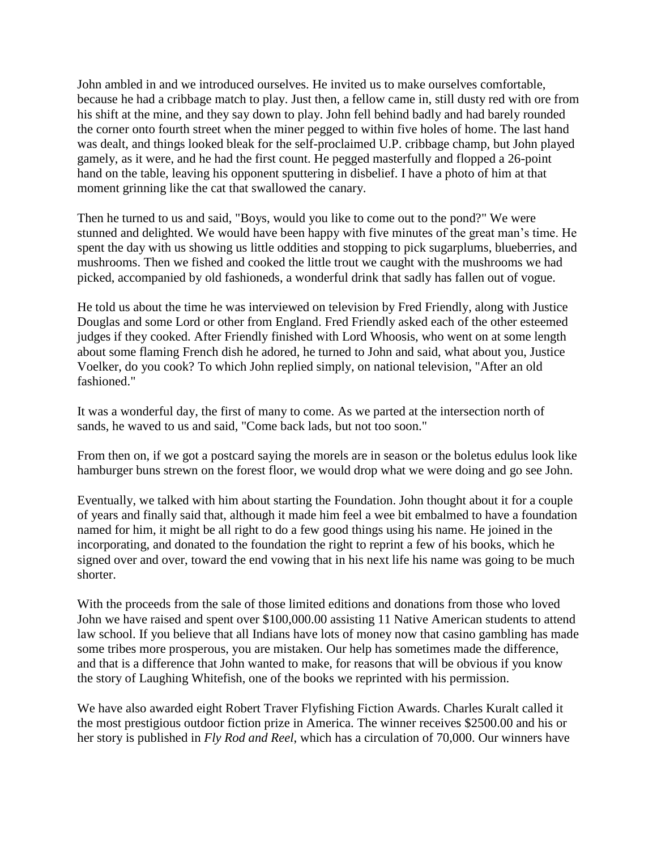John ambled in and we introduced ourselves. He invited us to make ourselves comfortable, because he had a cribbage match to play. Just then, a fellow came in, still dusty red with ore from his shift at the mine, and they say down to play. John fell behind badly and had barely rounded the corner onto fourth street when the miner pegged to within five holes of home. The last hand was dealt, and things looked bleak for the self-proclaimed U.P. cribbage champ, but John played gamely, as it were, and he had the first count. He pegged masterfully and flopped a 26-point hand on the table, leaving his opponent sputtering in disbelief. I have a photo of him at that moment grinning like the cat that swallowed the canary.

Then he turned to us and said, "Boys, would you like to come out to the pond?" We were stunned and delighted. We would have been happy with five minutes of the great man's time. He spent the day with us showing us little oddities and stopping to pick sugarplums, blueberries, and mushrooms. Then we fished and cooked the little trout we caught with the mushrooms we had picked, accompanied by old fashioneds, a wonderful drink that sadly has fallen out of vogue.

He told us about the time he was interviewed on television by Fred Friendly, along with Justice Douglas and some Lord or other from England. Fred Friendly asked each of the other esteemed judges if they cooked. After Friendly finished with Lord Whoosis, who went on at some length about some flaming French dish he adored, he turned to John and said, what about you, Justice Voelker, do you cook? To which John replied simply, on national television, "After an old fashioned."

It was a wonderful day, the first of many to come. As we parted at the intersection north of sands, he waved to us and said, "Come back lads, but not too soon."

From then on, if we got a postcard saying the morels are in season or the boletus edulus look like hamburger buns strewn on the forest floor, we would drop what we were doing and go see John.

Eventually, we talked with him about starting the Foundation. John thought about it for a couple of years and finally said that, although it made him feel a wee bit embalmed to have a foundation named for him, it might be all right to do a few good things using his name. He joined in the incorporating, and donated to the foundation the right to reprint a few of his books, which he signed over and over, toward the end vowing that in his next life his name was going to be much shorter.

With the proceeds from the sale of those limited editions and donations from those who loved John we have raised and spent over \$100,000.00 assisting 11 Native American students to attend law school. If you believe that all Indians have lots of money now that casino gambling has made some tribes more prosperous, you are mistaken. Our help has sometimes made the difference, and that is a difference that John wanted to make, for reasons that will be obvious if you know the story of Laughing Whitefish, one of the books we reprinted with his permission.

We have also awarded eight Robert Traver Flyfishing Fiction Awards. Charles Kuralt called it the most prestigious outdoor fiction prize in America. The winner receives \$2500.00 and his or her story is published in *Fly Rod and Reel*, which has a circulation of 70,000. Our winners have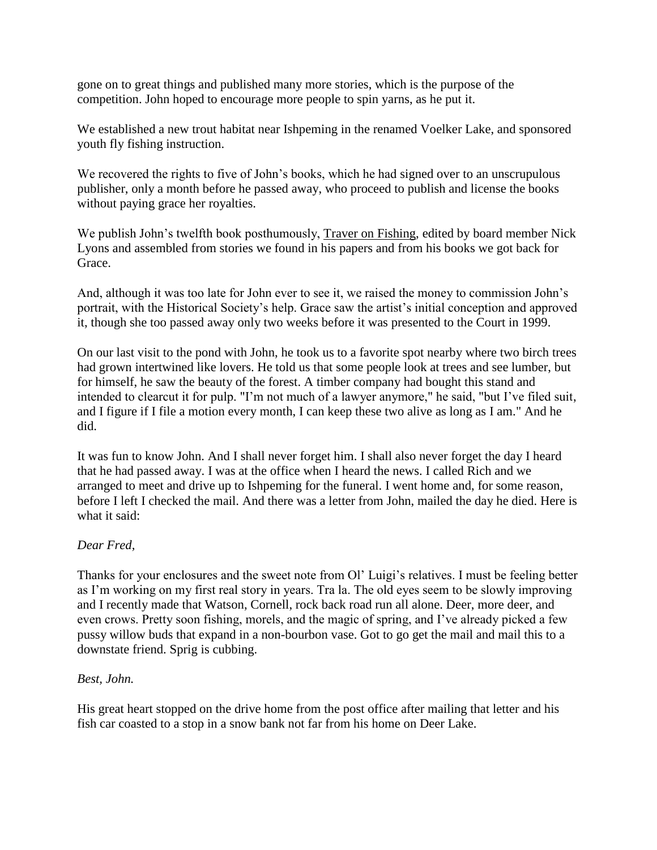gone on to great things and published many more stories, which is the purpose of the competition. John hoped to encourage more people to spin yarns, as he put it.

We established a new trout habitat near Ishpeming in the renamed Voelker Lake, and sponsored youth fly fishing instruction.

We recovered the rights to five of John's books, which he had signed over to an unscrupulous publisher, only a month before he passed away, who proceed to publish and license the books without paying grace her royalties.

We publish John's twelfth book posthumously, Traver on Fishing, edited by board member Nick Lyons and assembled from stories we found in his papers and from his books we got back for Grace.

And, although it was too late for John ever to see it, we raised the money to commission John's portrait, with the Historical Society's help. Grace saw the artist's initial conception and approved it, though she too passed away only two weeks before it was presented to the Court in 1999.

On our last visit to the pond with John, he took us to a favorite spot nearby where two birch trees had grown intertwined like lovers. He told us that some people look at trees and see lumber, but for himself, he saw the beauty of the forest. A timber company had bought this stand and intended to clearcut it for pulp. "I'm not much of a lawyer anymore," he said, "but I've filed suit, and I figure if I file a motion every month, I can keep these two alive as long as I am." And he did.

It was fun to know John. And I shall never forget him. I shall also never forget the day I heard that he had passed away. I was at the office when I heard the news. I called Rich and we arranged to meet and drive up to Ishpeming for the funeral. I went home and, for some reason, before I left I checked the mail. And there was a letter from John, mailed the day he died. Here is what it said:

### *Dear Fred,*

Thanks for your enclosures and the sweet note from Ol' Luigi's relatives. I must be feeling better as I'm working on my first real story in years. Tra la. The old eyes seem to be slowly improving and I recently made that Watson, Cornell, rock back road run all alone. Deer, more deer, and even crows. Pretty soon fishing, morels, and the magic of spring, and I've already picked a few pussy willow buds that expand in a non-bourbon vase. Got to go get the mail and mail this to a downstate friend. Sprig is cubbing.

#### *Best, John.*

His great heart stopped on the drive home from the post office after mailing that letter and his fish car coasted to a stop in a snow bank not far from his home on Deer Lake.